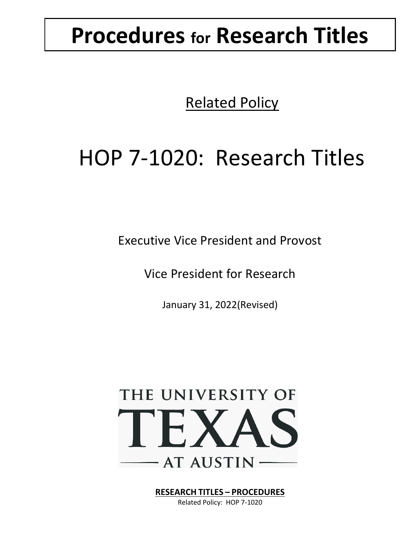# **Procedures for Research Titles**

Related Policy

# HOP 7-1020: Research Titles

Executive Vice President and Provost

Vice President for Research

January 31, 2022(Revised)



**RESEARCH TITLES – PROCEDURES**

Related Policy: HOP 7-1020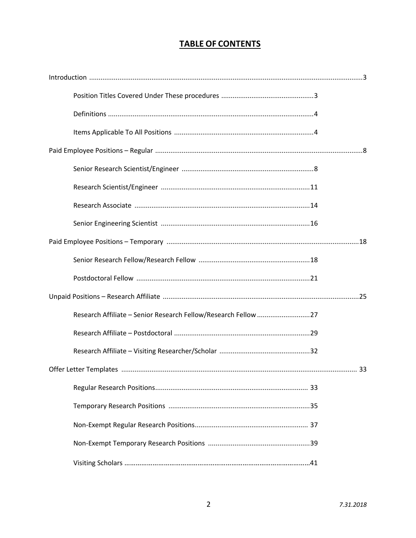# **TABLE OF CONTENTS**

| Research Affiliate - Senior Research Fellow/Research Fellow 27 |  |
|----------------------------------------------------------------|--|
|                                                                |  |
|                                                                |  |
|                                                                |  |
|                                                                |  |
|                                                                |  |
|                                                                |  |
|                                                                |  |
|                                                                |  |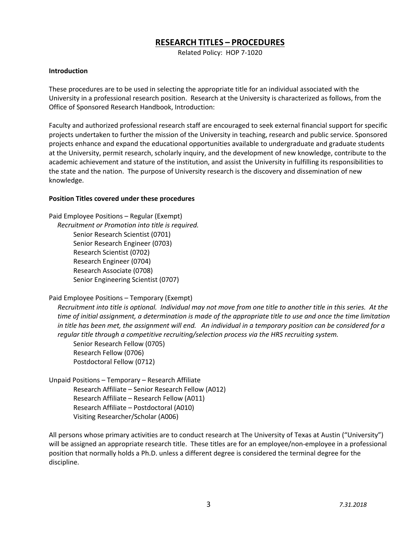# **RESEARCH TITLES – PROCEDURES**

Related Policy: HOP 7-1020

# **Introduction**

These procedures are to be used in selecting the appropriate title for an individual associated with the University in a professional research position. Research at the University is characterized as follows, from the Office of Sponsored Research Handbook, Introduction:

Faculty and authorized professional research staff are encouraged to seek external financial support for specific projects undertaken to further the mission of the University in teaching, research and public service. Sponsored projects enhance and expand the educational opportunities available to undergraduate and graduate students at the University, permit research, scholarly inquiry, and the development of new knowledge, contribute to the academic achievement and stature of the institution, and assist the University in fulfilling its responsibilities to the state and the nation. The purpose of University research is the discovery and dissemination of new knowledge.

# **Position Titles covered under these procedures**

Paid Employee Positions – Regular (Exempt) *Recruitment or Promotion into title is required.* Senior Research Scientist (0701) Senior Research Engineer (0703) Research Scientist (0702) Research Engineer (0704) Research Associate (0708) Senior Engineering Scientist (0707)

# Paid Employee Positions – Temporary (Exempt)

*Recruitment into title is optional. Individual may not move from one title to another title in this series. At the time of initial assignment, a determination is made of the appropriate title to use and once the time limitation in title has been met, the assignment will end. An individual in a temporary position can be considered for a regular title through a competitive recruiting/selection process via the HRS recruiting system.*

Senior Research Fellow (0705) Research Fellow (0706) Postdoctoral Fellow (0712)

Unpaid Positions – Temporary – Research Affiliate Research Affiliate – Senior Research Fellow (A012) Research Affiliate – Research Fellow (A011) Research Affiliate – Postdoctoral (A010) Visiting Researcher/Scholar (A006)

All persons whose primary activities are to conduct research at The University of Texas at Austin ("University") will be assigned an appropriate research title. These titles are for an employee/non-employee in a professional position that normally holds a Ph.D. unless a different degree is considered the terminal degree for the discipline.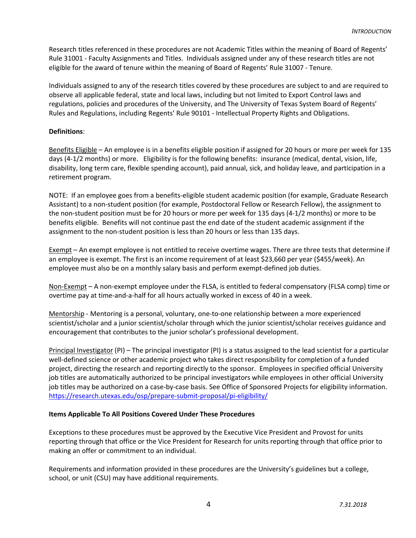Research titles referenced in these procedures are not Academic Titles within the meaning of Board of Regents' Rule 31001 - Faculty Assignments and Titles. Individuals assigned under any of these research titles are not eligible for the award of tenure within the meaning of Board of Regents' Rule 31007 - Tenure.

Individuals assigned to any of the research titles covered by these procedures are subject to and are required to observe all applicable federal, state and local laws, including but not limited to Export Control laws and regulations, policies and procedures of the University, and The University of Texas System Board of Regents' Rules and Regulations, including Regents' Rule 90101 - Intellectual Property Rights and Obligations.

# **Definitions**:

Benefits Eligible – An employee is in a benefits eligible position if assigned for 20 hours or more per week for 135 days (4-1/2 months) or more. Eligibility is for the following benefits: insurance (medical, dental, vision, life, disability, long term care, flexible spending account), paid annual, sick, and holiday leave, and participation in a retirement program.

NOTE: If an employee goes from a benefits-eligible student academic position (for example, Graduate Research Assistant) to a non-student position (for example, Postdoctoral Fellow or Research Fellow), the assignment to the non-student position must be for 20 hours or more per week for 135 days (4-1/2 months) or more to be benefits eligible. Benefits will not continue past the end date of the student academic assignment if the assignment to the non-student position is less than 20 hours or less than 135 days.

Exempt – An exempt employee is not entitled to receive overtime wages. There are three tests that determine if an employee is exempt. The first is an income requirement of at least \$23,660 per year (\$455/week). An employee must also be on a monthly salary basis and perform exempt-defined job duties.

Non-Exempt – A non-exempt employee under the FLSA, is entitled to federal compensatory (FLSA comp) time or overtime pay at time-and-a-half for all hours actually worked in excess of 40 in a week.

Mentorship - Mentoring is a personal, voluntary, one-to-one relationship between a more experienced scientist/scholar and a junior scientist/scholar through which the junior scientist/scholar receives guidance and encouragement that contributes to the junior scholar's professional development.

Principal Investigator (PI) – The principal investigator (PI) is a status assigned to the lead scientist for a particular well-defined science or other academic project who takes direct responsibility for completion of a funded project, directing the research and reporting directly to the sponsor. Employees in specified official University job titles are automatically authorized to be principal investigators while employees in other official University job titles may be authorized on a case-by-case basis. See Office of Sponsored Projects for eligibility information. https://research.utexas.edu/osp/prepare-submit-proposal/pi-eligibility/

# **Items Applicable To All Positions Covered Under These Procedures**

Exceptions to these procedures must be approved by the Executive Vice President and Provost for units reporting through that office or the Vice President for Research for units reporting through that office prior to making an offer or commitment to an individual.

Requirements and information provided in these procedures are the University's guidelines but a college, school, or unit (CSU) may have additional requirements.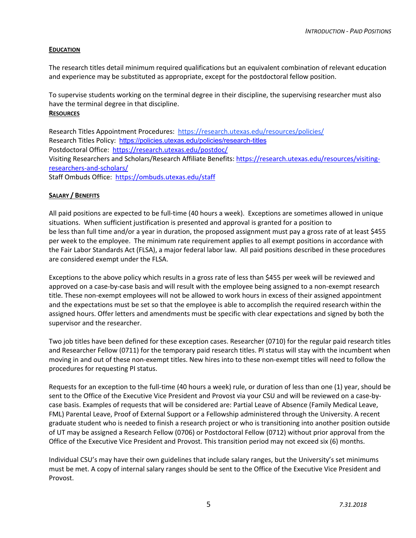# **EDUCATION**

The research titles detail minimum required qualifications but an equivalent combination of relevant education and experience may be substituted as appropriate, except for the postdoctoral fellow position.

To supervise students working on the terminal degree in their discipline, the supervising researcher must also have the terminal degree in that discipline. **RESOURCES**

Research Titles Appointment Procedures: https://research.utexas.edu/resources/policies/ Research Titles Policy: https://policies.utexas.edu/policies/research-titles Postdoctoral Office: https://research.utexas.edu/postdoc/ Visiting Researchers and Scholars/Research Affiliate Benefits: https://research.utexas.edu/resources/visitingresearchers-and-scholars/ Staff Ombuds Office: https://ombuds.utexas.edu/staff

# **SALARY / BENEFITS**

All paid positions are expected to be full-time (40 hours a week). Exceptions are sometimes allowed in unique situations. When sufficient justification is presented and approval is granted for a position to be less than full time and/or a year in duration, the proposed assignment must pay a gross rate of at least \$455 per week to the employee. The minimum rate requirement applies to all exempt positions in accordance with the Fair Labor Standards Act (FLSA), a major federal labor law. All paid positions described in these procedures are considered exempt under the FLSA.

Exceptions to the above policy which results in a gross rate of less than \$455 per week will be reviewed and approved on a case-by-case basis and will result with the employee being assigned to a non-exempt research title. These non-exempt employees will not be allowed to work hours in excess of their assigned appointment and the expectations must be set so that the employee is able to accomplish the required research within the assigned hours. Offer letters and amendments must be specific with clear expectations and signed by both the supervisor and the researcher.

Two job titles have been defined for these exception cases. Researcher (0710) for the regular paid research titles and Researcher Fellow (0711) for the temporary paid research titles. PI status will stay with the incumbent when moving in and out of these non-exempt titles. New hires into to these non-exempt titles will need to follow the procedures for requesting PI status.

Requests for an exception to the full-time (40 hours a week) rule, or duration of less than one (1) year, should be sent to the Office of the Executive Vice President and Provost via your CSU and will be reviewed on a case-bycase basis. Examples of requests that will be considered are: Partial Leave of Absence (Family Medical Leave, FML) Parental Leave, Proof of External Support or a Fellowship administered through the University. A recent graduate student who is needed to finish a research project or who is transitioning into another position outside of UT may be assigned a Research Fellow (0706) or Postdoctoral Fellow (0712) without prior approval from the Office of the Executive Vice President and Provost. This transition period may not exceed six (6) months.

Individual CSU's may have their own guidelines that include salary ranges, but the University's set minimums must be met. A copy of internal salary ranges should be sent to the Office of the Executive Vice President and Provost.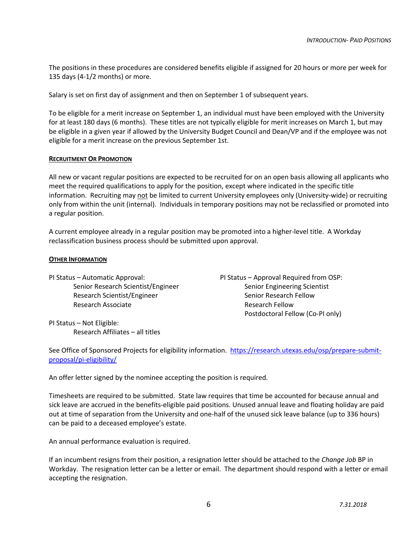The positions in these procedures are considered benefits eligible if assigned for 20 hours or more per week for 135 days (4-1/2 months) or more.

Salary is set on first day of assignment and then on September 1 of subsequent years.

To be eligible for a merit increase on September 1, an individual must have been employed with the University for at least 180 days (6 months). These titles are not typically eligible for merit increases on March 1, but may be eligible in a given year if allowed by the University Budget Council and Dean/VP and if the employee was not eligible for a merit increase on the previous September 1st.

# **RECRUITMENT OR PROMOTION**

All new or vacant regular positions are expected to be recruited for on an open basis allowing all applicants who meet the required qualifications to apply for the position, except where indicated in the specific title information. Recruiting may not be limited to current University employees only (University-wide) or recruiting only from within the unit (internal). Individuals in temporary positions may not be reclassified or promoted into a regular position.

A current employee already in a regular position may be promoted into a higher-level title. A Workday reclassification business process should be submitted upon approval.

# **OTHER INFORMATION**

PI Status – Automatic Approval: PI Status – Approval Required from OSP: Senior Research Scientist/Engineer Senior Engineering Scientist Research Scientist/Engineer Senior Research Fellow Research Associate Research Fellow

Postdoctoral Fellow (Co-PI only)

PI Status – Not Eligible: Research Affiliates – all titles

See Office of Sponsored Projects for eligibility information. https://research.utexas.edu/osp/prepare-submitproposal/pi-eligibility/

An offer letter signed by the nominee accepting the position is required.

Timesheets are required to be submitted. State law requires that time be accounted for because annual and sick leave are accrued in the benefits-eligible paid positions. Unused annual leave and floating holiday are paid out at time of separation from the University and one-half of the unused sick leave balance (up to 336 hours) can be paid to a deceased employee's estate.

An annual performance evaluation is required.

If an incumbent resigns from their position, a resignation letter should be attached to the *Change Job* BP in Workday. The resignation letter can be a letter or email. The department should respond with a letter or email accepting the resignation.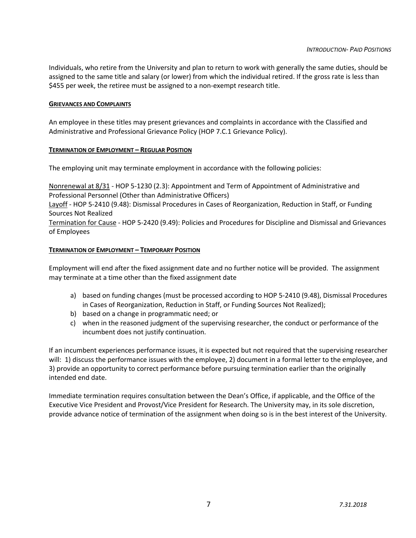Individuals, who retire from the University and plan to return to work with generally the same duties, should be assigned to the same title and salary (or lower) from which the individual retired. If the gross rate is less than \$455 per week, the retiree must be assigned to a non-exempt research title.

# **GRIEVANCES AND COMPLAINTS**

An employee in these titles may present grievances and complaints in accordance with the Classified and Administrative and Professional Grievance Policy (HOP 7.C.1 Grievance Policy).

# **TERMINATION OF EMPLOYMENT – REGULAR POSITION**

The employing unit may terminate employment in accordance with the following policies:

Nonrenewal at 8/31 - HOP 5-1230 (2.3): Appointment and Term of Appointment of Administrative and Professional Personnel (Other than Administrative Officers)

Layoff - HOP 5-2410 (9.48): Dismissal Procedures in Cases of Reorganization, Reduction in Staff, or Funding Sources Not Realized

Termination for Cause - HOP 5-2420 (9.49): Policies and Procedures for Discipline and Dismissal and Grievances of Employees

# **TERMINATION OF EMPLOYMENT – TEMPORARY POSITION**

Employment will end after the fixed assignment date and no further notice will be provided. The assignment may terminate at a time other than the fixed assignment date

- a) based on funding changes (must be processed according to HOP 5-2410 (9.48), Dismissal Procedures in Cases of Reorganization, Reduction in Staff, or Funding Sources Not Realized);
- b) based on a change in programmatic need; or
- c) when in the reasoned judgment of the supervising researcher, the conduct or performance of the incumbent does not justify continuation.

If an incumbent experiences performance issues, it is expected but not required that the supervising researcher will: 1) discuss the performance issues with the employee, 2) document in a formal letter to the employee, and 3) provide an opportunity to correct performance before pursuing termination earlier than the originally intended end date.

Immediate termination requires consultation between the Dean's Office, if applicable, and the Office of the Executive Vice President and Provost/Vice President for Research. The University may, in its sole discretion, provide advance notice of termination of the assignment when doing so is in the best interest of the University.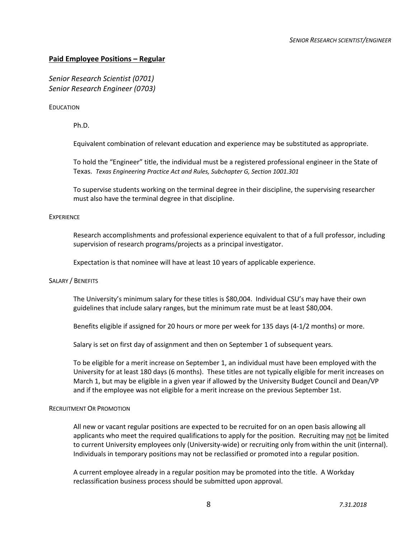# **Paid Employee Positions – Regular**

*Senior Research Scientist (0701) Senior Research Engineer (0703)*

EDUCATION

Ph.D.

Equivalent combination of relevant education and experience may be substituted as appropriate.

To hold the "Engineer" title, the individual must be a registered professional engineer in the State of Texas. *Texas Engineering Practice Act and Rules, Subchapter G, Section 1001.301*

To supervise students working on the terminal degree in their discipline, the supervising researcher must also have the terminal degree in that discipline.

# **EXPERIENCE**

Research accomplishments and professional experience equivalent to that of a full professor, including supervision of research programs/projects as a principal investigator.

Expectation is that nominee will have at least 10 years of applicable experience.

# SALARY / BENEFITS

The University's minimum salary for these titles is \$80,004. Individual CSU's may have their own guidelines that include salary ranges, but the minimum rate must be at least \$80,004.

Benefits eligible if assigned for 20 hours or more per week for 135 days (4-1/2 months) or more.

Salary is set on first day of assignment and then on September 1 of subsequent years.

To be eligible for a merit increase on September 1, an individual must have been employed with the University for at least 180 days (6 months). These titles are not typically eligible for merit increases on March 1, but may be eligible in a given year if allowed by the University Budget Council and Dean/VP and if the employee was not eligible for a merit increase on the previous September 1st.

# RECRUITMENT OR PROMOTION

All new or vacant regular positions are expected to be recruited for on an open basis allowing all applicants who meet the required qualifications to apply for the position. Recruiting may not be limited to current University employees only (University-wide) or recruiting only from within the unit (internal). Individuals in temporary positions may not be reclassified or promoted into a regular position.

A current employee already in a regular position may be promoted into the title. A Workday reclassification business process should be submitted upon approval.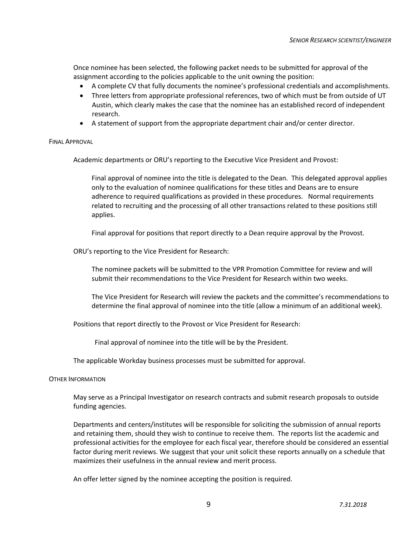Once nominee has been selected, the following packet needs to be submitted for approval of the assignment according to the policies applicable to the unit owning the position:

- A complete CV that fully documents the nominee's professional credentials and accomplishments.
- Three letters from appropriate professional references, two of which must be from outside of UT Austin, which clearly makes the case that the nominee has an established record of independent research.
- A statement of support from the appropriate department chair and/or center director.

# FINAL APPROVAL

Academic departments or ORU's reporting to the Executive Vice President and Provost:

Final approval of nominee into the title is delegated to the Dean. This delegated approval applies only to the evaluation of nominee qualifications for these titles and Deans are to ensure adherence to required qualifications as provided in these procedures. Normal requirements related to recruiting and the processing of all other transactions related to these positions still applies.

Final approval for positions that report directly to a Dean require approval by the Provost.

ORU's reporting to the Vice President for Research:

The nominee packets will be submitted to the VPR Promotion Committee for review and will submit their recommendations to the Vice President for Research within two weeks.

The Vice President for Research will review the packets and the committee's recommendations to determine the final approval of nominee into the title (allow a minimum of an additional week).

Positions that report directly to the Provost or Vice President for Research:

Final approval of nominee into the title will be by the President.

The applicable Workday business processes must be submitted for approval.

# OTHER INFORMATION

May serve as a Principal Investigator on research contracts and submit research proposals to outside funding agencies.

Departments and centers/institutes will be responsible for soliciting the submission of annual reports and retaining them, should they wish to continue to receive them. The reports list the academic and professional activities for the employee for each fiscal year, therefore should be considered an essential factor during merit reviews. We suggest that your unit solicit these reports annually on a schedule that maximizes their usefulness in the annual review and merit process.

An offer letter signed by the nominee accepting the position is required.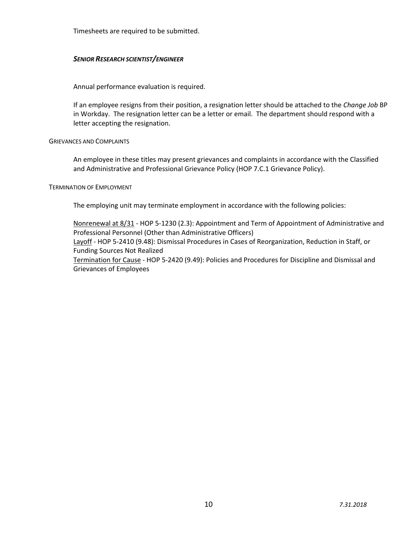Timesheets are required to be submitted.

# *SENIOR RESEARCH SCIENTIST/ENGINEER*

Annual performance evaluation is required.

If an employee resigns from their position, a resignation letter should be attached to the *Change Job* BP in Workday. The resignation letter can be a letter or email. The department should respond with a letter accepting the resignation.

# GRIEVANCES AND COMPLAINTS

An employee in these titles may present grievances and complaints in accordance with the Classified and Administrative and Professional Grievance Policy (HOP 7.C.1 Grievance Policy).

# TERMINATION OF EMPLOYMENT

The employing unit may terminate employment in accordance with the following policies:

Nonrenewal at 8/31 - HOP 5-1230 (2.3): Appointment and Term of Appointment of Administrative and Professional Personnel (Other than Administrative Officers)

Layoff - HOP 5-2410 (9.48): Dismissal Procedures in Cases of Reorganization, Reduction in Staff, or Funding Sources Not Realized

Termination for Cause - HOP 5-2420 (9.49): Policies and Procedures for Discipline and Dismissal and Grievances of Employees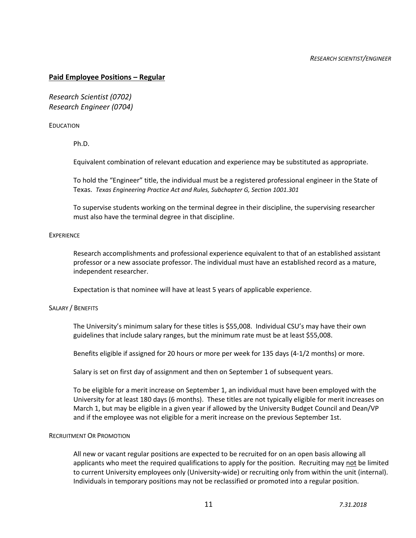# **Paid Employee Positions – Regular**

*Research Scientist (0702) Research Engineer (0704)*

# EDUCATION

Ph.D.

Equivalent combination of relevant education and experience may be substituted as appropriate.

To hold the "Engineer" title, the individual must be a registered professional engineer in the State of Texas. *Texas Engineering Practice Act and Rules, Subchapter G, Section 1001.301*

To supervise students working on the terminal degree in their discipline, the supervising researcher must also have the terminal degree in that discipline.

# **EXPERIENCE**

Research accomplishments and professional experience equivalent to that of an established assistant professor or a new associate professor. The individual must have an established record as a mature, independent researcher.

Expectation is that nominee will have at least 5 years of applicable experience.

# SALARY / BENEFITS

The University's minimum salary for these titles is \$55,008. Individual CSU's may have their own guidelines that include salary ranges, but the minimum rate must be at least \$55,008.

Benefits eligible if assigned for 20 hours or more per week for 135 days (4-1/2 months) or more.

Salary is set on first day of assignment and then on September 1 of subsequent years.

To be eligible for a merit increase on September 1, an individual must have been employed with the University for at least 180 days (6 months). These titles are not typically eligible for merit increases on March 1, but may be eligible in a given year if allowed by the University Budget Council and Dean/VP and if the employee was not eligible for a merit increase on the previous September 1st.

# RECRUITMENT OR PROMOTION

All new or vacant regular positions are expected to be recruited for on an open basis allowing all applicants who meet the required qualifications to apply for the position. Recruiting may not be limited to current University employees only (University-wide) or recruiting only from within the unit (internal). Individuals in temporary positions may not be reclassified or promoted into a regular position.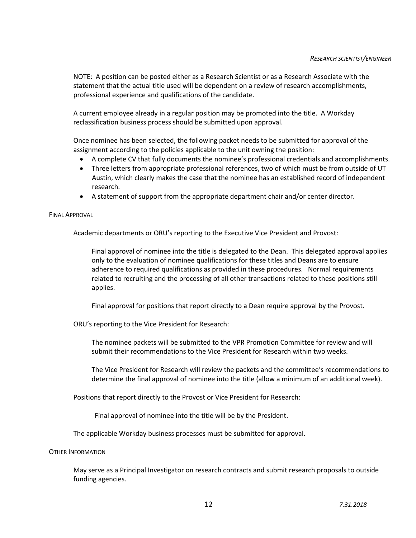NOTE: A position can be posted either as a Research Scientist or as a Research Associate with the statement that the actual title used will be dependent on a review of research accomplishments, professional experience and qualifications of the candidate.

A current employee already in a regular position may be promoted into the title. A Workday reclassification business process should be submitted upon approval.

Once nominee has been selected, the following packet needs to be submitted for approval of the assignment according to the policies applicable to the unit owning the position:

- A complete CV that fully documents the nominee's professional credentials and accomplishments.
- Three letters from appropriate professional references, two of which must be from outside of UT Austin, which clearly makes the case that the nominee has an established record of independent research.
- A statement of support from the appropriate department chair and/or center director.

#### FINAL APPROVAL

Academic departments or ORU's reporting to the Executive Vice President and Provost:

Final approval of nominee into the title is delegated to the Dean. This delegated approval applies only to the evaluation of nominee qualifications for these titles and Deans are to ensure adherence to required qualifications as provided in these procedures. Normal requirements related to recruiting and the processing of all other transactions related to these positions still applies.

Final approval for positions that report directly to a Dean require approval by the Provost.

ORU's reporting to the Vice President for Research:

The nominee packets will be submitted to the VPR Promotion Committee for review and will submit their recommendations to the Vice President for Research within two weeks.

The Vice President for Research will review the packets and the committee's recommendations to determine the final approval of nominee into the title (allow a minimum of an additional week).

Positions that report directly to the Provost or Vice President for Research:

Final approval of nominee into the title will be by the President.

The applicable Workday business processes must be submitted for approval.

#### OTHER INFORMATION

May serve as a Principal Investigator on research contracts and submit research proposals to outside funding agencies.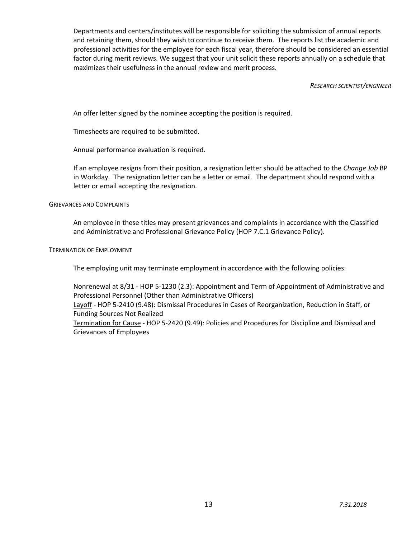Departments and centers/institutes will be responsible for soliciting the submission of annual reports and retaining them, should they wish to continue to receive them. The reports list the academic and professional activities for the employee for each fiscal year, therefore should be considered an essential factor during merit reviews. We suggest that your unit solicit these reports annually on a schedule that maximizes their usefulness in the annual review and merit process.

# *RESEARCH SCIENTIST/ENGINEER*

An offer letter signed by the nominee accepting the position is required.

Timesheets are required to be submitted.

Annual performance evaluation is required.

If an employee resigns from their position, a resignation letter should be attached to the *Change Job* BP in Workday. The resignation letter can be a letter or email. The department should respond with a letter or email accepting the resignation.

# GRIEVANCES AND COMPLAINTS

An employee in these titles may present grievances and complaints in accordance with the Classified and Administrative and Professional Grievance Policy (HOP 7.C.1 Grievance Policy).

# TERMINATION OF EMPLOYMENT

The employing unit may terminate employment in accordance with the following policies:

Nonrenewal at 8/31 - HOP 5-1230 (2.3): Appointment and Term of Appointment of Administrative and Professional Personnel (Other than Administrative Officers) Layoff - HOP 5-2410 (9.48): Dismissal Procedures in Cases of Reorganization, Reduction in Staff, or Funding Sources Not Realized Termination for Cause - HOP 5-2420 (9.49): Policies and Procedures for Discipline and Dismissal and

Grievances of Employees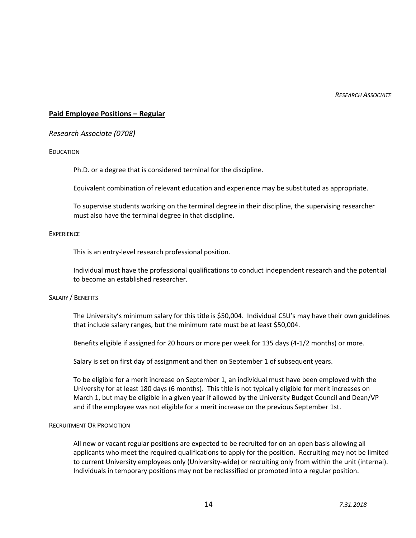*RESEARCH ASSOCIATE*

# **Paid Employee Positions – Regular**

# *Research Associate (0708)*

#### EDUCATION

Ph.D. or a degree that is considered terminal for the discipline.

Equivalent combination of relevant education and experience may be substituted as appropriate.

To supervise students working on the terminal degree in their discipline, the supervising researcher must also have the terminal degree in that discipline.

#### **EXPERIENCE**

This is an entry-level research professional position.

Individual must have the professional qualifications to conduct independent research and the potential to become an established researcher.

# SALARY / BENEFITS

The University's minimum salary for this title is \$50,004. Individual CSU's may have their own guidelines that include salary ranges, but the minimum rate must be at least \$50,004.

Benefits eligible if assigned for 20 hours or more per week for 135 days (4-1/2 months) or more.

Salary is set on first day of assignment and then on September 1 of subsequent years.

To be eligible for a merit increase on September 1, an individual must have been employed with the University for at least 180 days (6 months). This title is not typically eligible for merit increases on March 1, but may be eligible in a given year if allowed by the University Budget Council and Dean/VP and if the employee was not eligible for a merit increase on the previous September 1st.

# RECRUITMENT OR PROMOTION

All new or vacant regular positions are expected to be recruited for on an open basis allowing all applicants who meet the required qualifications to apply for the position. Recruiting may not be limited to current University employees only (University-wide) or recruiting only from within the unit (internal). Individuals in temporary positions may not be reclassified or promoted into a regular position.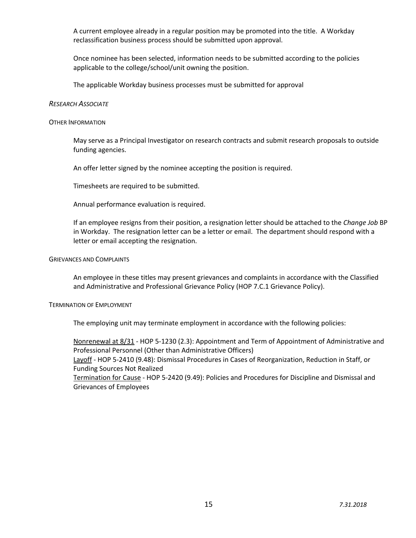A current employee already in a regular position may be promoted into the title. A Workday reclassification business process should be submitted upon approval.

Once nominee has been selected, information needs to be submitted according to the policies applicable to the college/school/unit owning the position.

The applicable Workday business processes must be submitted for approval

#### *RESEARCH ASSOCIATE*

#### OTHER INFORMATION

May serve as a Principal Investigator on research contracts and submit research proposals to outside funding agencies.

An offer letter signed by the nominee accepting the position is required.

Timesheets are required to be submitted.

Annual performance evaluation is required.

If an employee resigns from their position, a resignation letter should be attached to the *Change Job* BP in Workday. The resignation letter can be a letter or email. The department should respond with a letter or email accepting the resignation.

#### GRIEVANCES AND COMPLAINTS

An employee in these titles may present grievances and complaints in accordance with the Classified and Administrative and Professional Grievance Policy (HOP 7.C.1 Grievance Policy).

# TERMINATION OF EMPLOYMENT

The employing unit may terminate employment in accordance with the following policies:

Nonrenewal at 8/31 - HOP 5-1230 (2.3): Appointment and Term of Appointment of Administrative and Professional Personnel (Other than Administrative Officers) Layoff - HOP 5-2410 (9.48): Dismissal Procedures in Cases of Reorganization, Reduction in Staff, or Funding Sources Not Realized Termination for Cause - HOP 5-2420 (9.49): Policies and Procedures for Discipline and Dismissal and Grievances of Employees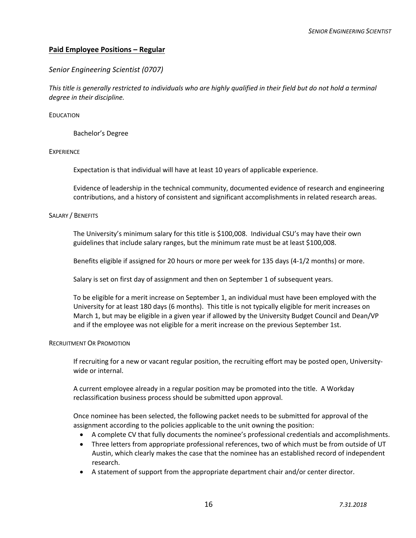# **Paid Employee Positions – Regular**

# *Senior Engineering Scientist (0707)*

*This title is generally restricted to individuals who are highly qualified in their field but do not hold a terminal degree in their discipline.* 

# EDUCATION

Bachelor's Degree

# EXPERIENCE

Expectation is that individual will have at least 10 years of applicable experience.

Evidence of leadership in the technical community, documented evidence of research and engineering contributions, and a history of consistent and significant accomplishments in related research areas.

# SALARY / BENEFITS

The University's minimum salary for this title is \$100,008. Individual CSU's may have their own guidelines that include salary ranges, but the minimum rate must be at least \$100,008.

Benefits eligible if assigned for 20 hours or more per week for 135 days (4-1/2 months) or more.

Salary is set on first day of assignment and then on September 1 of subsequent years.

To be eligible for a merit increase on September 1, an individual must have been employed with the University for at least 180 days (6 months). This title is not typically eligible for merit increases on March 1, but may be eligible in a given year if allowed by the University Budget Council and Dean/VP and if the employee was not eligible for a merit increase on the previous September 1st.

# RECRUITMENT OR PROMOTION

If recruiting for a new or vacant regular position, the recruiting effort may be posted open, Universitywide or internal.

A current employee already in a regular position may be promoted into the title. A Workday reclassification business process should be submitted upon approval.

Once nominee has been selected, the following packet needs to be submitted for approval of the assignment according to the policies applicable to the unit owning the position:

- A complete CV that fully documents the nominee's professional credentials and accomplishments.
- Three letters from appropriate professional references, two of which must be from outside of UT Austin, which clearly makes the case that the nominee has an established record of independent research.
- A statement of support from the appropriate department chair and/or center director.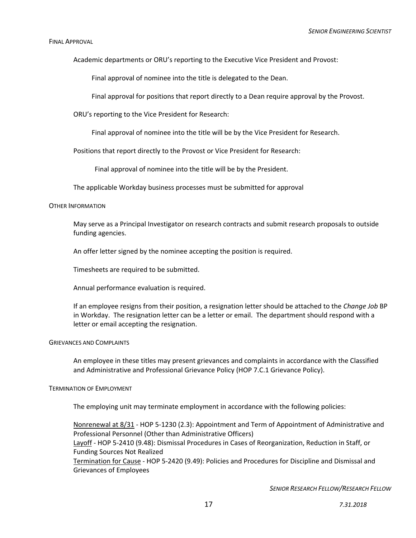#### FINAL APPROVAL

Academic departments or ORU's reporting to the Executive Vice President and Provost:

Final approval of nominee into the title is delegated to the Dean.

Final approval for positions that report directly to a Dean require approval by the Provost.

ORU's reporting to the Vice President for Research:

Final approval of nominee into the title will be by the Vice President for Research.

Positions that report directly to the Provost or Vice President for Research:

Final approval of nominee into the title will be by the President.

The applicable Workday business processes must be submitted for approval

#### OTHER INFORMATION

May serve as a Principal Investigator on research contracts and submit research proposals to outside funding agencies.

An offer letter signed by the nominee accepting the position is required.

Timesheets are required to be submitted.

Annual performance evaluation is required.

If an employee resigns from their position, a resignation letter should be attached to the *Change Job* BP in Workday. The resignation letter can be a letter or email. The department should respond with a letter or email accepting the resignation.

# GRIEVANCES AND COMPLAINTS

An employee in these titles may present grievances and complaints in accordance with the Classified and Administrative and Professional Grievance Policy (HOP 7.C.1 Grievance Policy).

# TERMINATION OF EMPLOYMENT

The employing unit may terminate employment in accordance with the following policies:

Nonrenewal at 8/31 - HOP 5-1230 (2.3): Appointment and Term of Appointment of Administrative and Professional Personnel (Other than Administrative Officers) Layoff - HOP 5-2410 (9.48): Dismissal Procedures in Cases of Reorganization, Reduction in Staff, or Funding Sources Not Realized Termination for Cause - HOP 5-2420 (9.49): Policies and Procedures for Discipline and Dismissal and Grievances of Employees

*SENIOR RESEARCH FELLOW/RESEARCH FELLOW*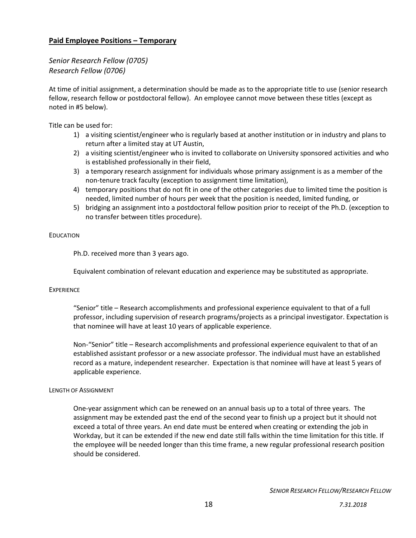# **Paid Employee Positions – Temporary**

*Senior Research Fellow (0705) Research Fellow (0706)*

At time of initial assignment, a determination should be made as to the appropriate title to use (senior research fellow, research fellow or postdoctoral fellow). An employee cannot move between these titles (except as noted in #5 below).

Title can be used for:

- 1) a visiting scientist/engineer who is regularly based at another institution or in industry and plans to return after a limited stay at UT Austin,
- 2) a visiting scientist/engineer who is invited to collaborate on University sponsored activities and who is established professionally in their field,
- 3) a temporary research assignment for individuals whose primary assignment is as a member of the non-tenure track faculty (exception to assignment time limitation),
- 4) temporary positions that do not fit in one of the other categories due to limited time the position is needed, limited number of hours per week that the position is needed, limited funding, or
- 5) bridging an assignment into a postdoctoral fellow position prior to receipt of the Ph.D. (exception to no transfer between titles procedure).

# EDUCATION

Ph.D. received more than 3 years ago.

Equivalent combination of relevant education and experience may be substituted as appropriate.

# **EXPERIENCE**

"Senior" title – Research accomplishments and professional experience equivalent to that of a full professor, including supervision of research programs/projects as a principal investigator. Expectation is that nominee will have at least 10 years of applicable experience.

Non-"Senior" title – Research accomplishments and professional experience equivalent to that of an established assistant professor or a new associate professor. The individual must have an established record as a mature, independent researcher. Expectation is that nominee will have at least 5 years of applicable experience.

# LENGTH OF ASSIGNMENT

One-year assignment which can be renewed on an annual basis up to a total of three years. The assignment may be extended past the end of the second year to finish up a project but it should not exceed a total of three years. An end date must be entered when creating or extending the job in Workday, but it can be extended if the new end date still falls within the time limitation for this title. If the employee will be needed longer than this time frame, a new regular professional research position should be considered.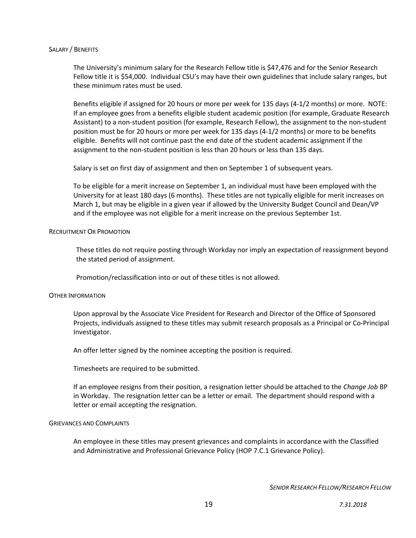# SALARY / BENEFITS

The University's minimum salary for the Research Fellow title is \$47,476 and for the Senior Research Fellow title it is \$54,000. Individual CSU's may have their own guidelines that include salary ranges, but these minimum rates must be used.

Benefits eligible if assigned for 20 hours or more per week for 135 days (4-1/2 months) or more. NOTE: If an employee goes from a benefits eligible student academic position (for example, Graduate Research Assistant) to a non-student position (for example, Research Fellow), the assignment to the non-student position must be for 20 hours or more per week for 135 days (4-1/2 months) or more to be benefits eligible. Benefits will not continue past the end date of the student academic assignment if the assignment to the non-student position is less than 20 hours or less than 135 days.

Salary is set on first day of assignment and then on September 1 of subsequent years.

To be eligible for a merit increase on September 1, an individual must have been employed with the University for at least 180 days (6 months). These titles are not typically eligible for merit increases on March 1, but may be eligible in a given year if allowed by the University Budget Council and Dean/VP and if the employee was not eligible for a merit increase on the previous September 1st.

# RECRUITMENT OR PROMOTION

These titles do not require posting through Workday nor imply an expectation of reassignment beyond the stated period of assignment.

Promotion/reclassification into or out of these titles is not allowed.

# OTHER INFORMATION

Upon approval by the Associate Vice President for Research and Director of the Office of Sponsored Projects, individuals assigned to these titles may submit research proposals as a Principal or Co-Principal Investigator.

An offer letter signed by the nominee accepting the position is required.

Timesheets are required to be submitted.

If an employee resigns from their position, a resignation letter should be attached to the *Change Job* BP in Workday. The resignation letter can be a letter or email. The department should respond with a letter or email accepting the resignation.

#### GRIEVANCES AND COMPLAINTS

An employee in these titles may present grievances and complaints in accordance with the Classified and Administrative and Professional Grievance Policy (HOP 7.C.1 Grievance Policy).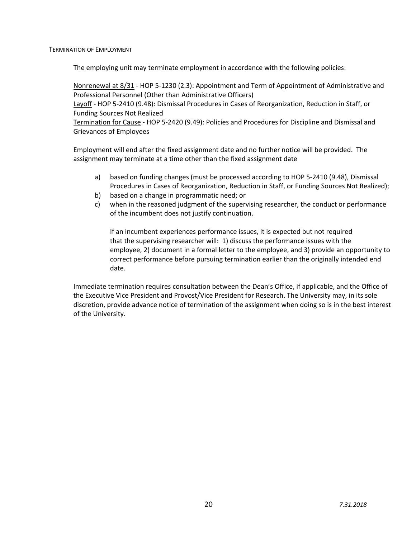TERMINATION OF EMPLOYMENT

The employing unit may terminate employment in accordance with the following policies:

Nonrenewal at 8/31 - HOP 5-1230 (2.3): Appointment and Term of Appointment of Administrative and Professional Personnel (Other than Administrative Officers)

Layoff - HOP 5-2410 (9.48): Dismissal Procedures in Cases of Reorganization, Reduction in Staff, or Funding Sources Not Realized

Termination for Cause - HOP 5-2420 (9.49): Policies and Procedures for Discipline and Dismissal and Grievances of Employees

Employment will end after the fixed assignment date and no further notice will be provided. The assignment may terminate at a time other than the fixed assignment date

- a) based on funding changes (must be processed according to HOP 5-2410 (9.48), Dismissal Procedures in Cases of Reorganization, Reduction in Staff, or Funding Sources Not Realized);
- b) based on a change in programmatic need; or
- c) when in the reasoned judgment of the supervising researcher, the conduct or performance of the incumbent does not justify continuation.

If an incumbent experiences performance issues, it is expected but not required that the supervising researcher will: 1) discuss the performance issues with the employee, 2) document in a formal letter to the employee, and 3) provide an opportunity to correct performance before pursuing termination earlier than the originally intended end date.

Immediate termination requires consultation between the Dean's Office, if applicable, and the Office of the Executive Vice President and Provost/Vice President for Research. The University may, in its sole discretion, provide advance notice of termination of the assignment when doing so is in the best interest of the University.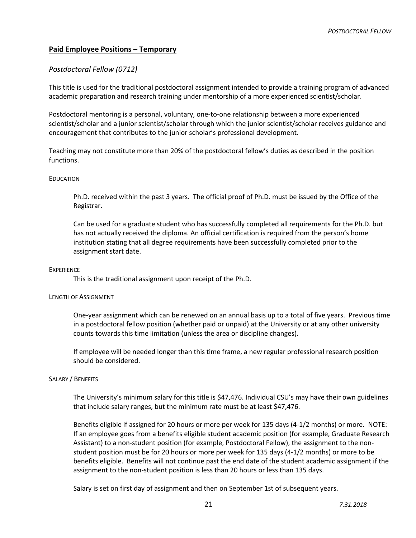# **Paid Employee Positions – Temporary**

# *Postdoctoral Fellow (0712)*

This title is used for the traditional postdoctoral assignment intended to provide a training program of advanced academic preparation and research training under mentorship of a more experienced scientist/scholar.

Postdoctoral mentoring is a personal, voluntary, one-to-one relationship between a more experienced scientist/scholar and a junior scientist/scholar through which the junior scientist/scholar receives guidance and encouragement that contributes to the junior scholar's professional development.

Teaching may not constitute more than 20% of the postdoctoral fellow's duties as described in the position functions.

# EDUCATION

Ph.D. received within the past 3 years. The official proof of Ph.D. must be issued by the Office of the Registrar.

Can be used for a graduate student who has successfully completed all requirements for the Ph.D. but has not actually received the diploma. An official certification is required from the person's home institution stating that all degree requirements have been successfully completed prior to the assignment start date.

# **EXPERIENCE**

This is the traditional assignment upon receipt of the Ph.D.

# LENGTH OF ASSIGNMENT

One-year assignment which can be renewed on an annual basis up to a total of five years. Previous time in a postdoctoral fellow position (whether paid or unpaid) at the University or at any other university counts towards this time limitation (unless the area or discipline changes).

If employee will be needed longer than this time frame, a new regular professional research position should be considered.

# SALARY / BENEFITS

The University's minimum salary for this title is \$47,476. Individual CSU's may have their own guidelines that include salary ranges, but the minimum rate must be at least \$47,476.

Benefits eligible if assigned for 20 hours or more per week for 135 days (4-1/2 months) or more. NOTE: If an employee goes from a benefits eligible student academic position (for example, Graduate Research Assistant) to a non-student position (for example, Postdoctoral Fellow), the assignment to the nonstudent position must be for 20 hours or more per week for 135 days (4-1/2 months) or more to be benefits eligible. Benefits will not continue past the end date of the student academic assignment if the assignment to the non-student position is less than 20 hours or less than 135 days.

Salary is set on first day of assignment and then on September 1st of subsequent years.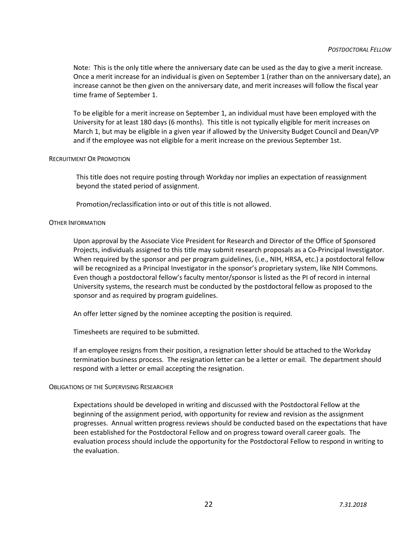Note: This is the only title where the anniversary date can be used as the day to give a merit increase. Once a merit increase for an individual is given on September 1 (rather than on the anniversary date), an increase cannot be then given on the anniversary date, and merit increases will follow the fiscal year time frame of September 1.

To be eligible for a merit increase on September 1, an individual must have been employed with the University for at least 180 days (6 months). This title is not typically eligible for merit increases on March 1, but may be eligible in a given year if allowed by the University Budget Council and Dean/VP and if the employee was not eligible for a merit increase on the previous September 1st.

# RECRUITMENT OR PROMOTION

This title does not require posting through Workday nor implies an expectation of reassignment beyond the stated period of assignment.

Promotion/reclassification into or out of this title is not allowed.

# OTHER INFORMATION

Upon approval by the Associate Vice President for Research and Director of the Office of Sponsored Projects, individuals assigned to this title may submit research proposals as a Co-Principal Investigator. When required by the sponsor and per program guidelines, (i.e., NIH, HRSA, etc.) a postdoctoral fellow will be recognized as a Principal Investigator in the sponsor's proprietary system, like NIH Commons. Even though a postdoctoral fellow's faculty mentor/sponsor is listed as the PI of record in internal University systems, the research must be conducted by the postdoctoral fellow as proposed to the sponsor and as required by program guidelines.

An offer letter signed by the nominee accepting the position is required.

Timesheets are required to be submitted.

If an employee resigns from their position, a resignation letter should be attached to the Workday termination business process. The resignation letter can be a letter or email. The department should respond with a letter or email accepting the resignation.

# OBLIGATIONS OF THE SUPERVISING RESEARCHER

Expectations should be developed in writing and discussed with the Postdoctoral Fellow at the beginning of the assignment period, with opportunity for review and revision as the assignment progresses. Annual written progress reviews should be conducted based on the expectations that have been established for the Postdoctoral Fellow and on progress toward overall career goals. The evaluation process should include the opportunity for the Postdoctoral Fellow to respond in writing to the evaluation.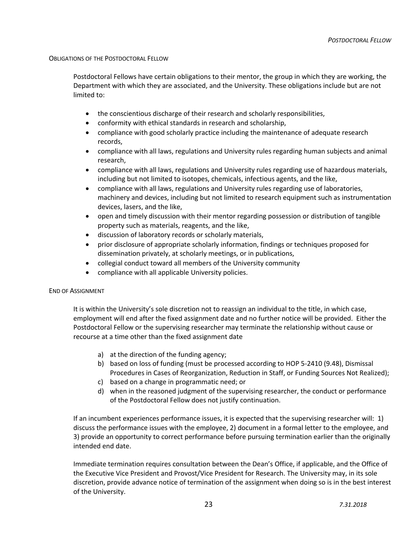# OBLIGATIONS OF THE POSTDOCTORAL FELLOW

Postdoctoral Fellows have certain obligations to their mentor, the group in which they are working, the Department with which they are associated, and the University. These obligations include but are not limited to:

- the conscientious discharge of their research and scholarly responsibilities,
- conformity with ethical standards in research and scholarship,
- compliance with good scholarly practice including the maintenance of adequate research records,
- compliance with all laws, regulations and University rules regarding human subjects and animal research,
- compliance with all laws, regulations and University rules regarding use of hazardous materials, including but not limited to isotopes, chemicals, infectious agents, and the like,
- compliance with all laws, regulations and University rules regarding use of laboratories, machinery and devices, including but not limited to research equipment such as instrumentation devices, lasers, and the like,
- open and timely discussion with their mentor regarding possession or distribution of tangible property such as materials, reagents, and the like,
- discussion of laboratory records or scholarly materials,
- prior disclosure of appropriate scholarly information, findings or techniques proposed for dissemination privately, at scholarly meetings, or in publications,
- collegial conduct toward all members of the University community
- compliance with all applicable University policies.

# END OF ASSIGNMENT

It is within the University's sole discretion not to reassign an individual to the title, in which case, employment will end after the fixed assignment date and no further notice will be provided. Either the Postdoctoral Fellow or the supervising researcher may terminate the relationship without cause or recourse at a time other than the fixed assignment date

- a) at the direction of the funding agency;
- b) based on loss of funding (must be processed according to HOP 5-2410 (9.48), Dismissal Procedures in Cases of Reorganization, Reduction in Staff, or Funding Sources Not Realized);
- c) based on a change in programmatic need; or
- d) when in the reasoned judgment of the supervising researcher, the conduct or performance of the Postdoctoral Fellow does not justify continuation.

If an incumbent experiences performance issues, it is expected that the supervising researcher will: 1) discuss the performance issues with the employee, 2) document in a formal letter to the employee, and 3) provide an opportunity to correct performance before pursuing termination earlier than the originally intended end date.

Immediate termination requires consultation between the Dean's Office, if applicable, and the Office of the Executive Vice President and Provost/Vice President for Research. The University may, in its sole discretion, provide advance notice of termination of the assignment when doing so is in the best interest of the University.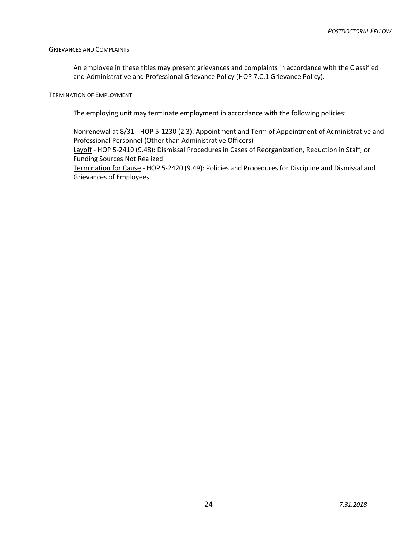# GRIEVANCES AND COMPLAINTS

An employee in these titles may present grievances and complaints in accordance with the Classified and Administrative and Professional Grievance Policy (HOP 7.C.1 Grievance Policy).

# TERMINATION OF EMPLOYMENT

The employing unit may terminate employment in accordance with the following policies:

Nonrenewal at 8/31 - HOP 5-1230 (2.3): Appointment and Term of Appointment of Administrative and Professional Personnel (Other than Administrative Officers)

Layoff - HOP 5-2410 (9.48): Dismissal Procedures in Cases of Reorganization, Reduction in Staff, or Funding Sources Not Realized

Termination for Cause - HOP 5-2420 (9.49): Policies and Procedures for Discipline and Dismissal and Grievances of Employees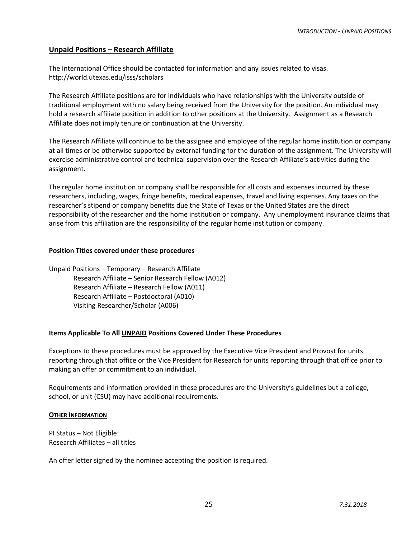# **Unpaid Positions – Research Affiliate**

The International Office should be contacted for information and any issues related to visas. http://world.utexas.edu/isss/scholars

The Research Affiliate positions are for individuals who have relationships with the University outside of traditional employment with no salary being received from the University for the position. An individual may hold a research affiliate position in addition to other positions at the University. Assignment as a Research Affiliate does not imply tenure or continuation at the University.

The Research Affiliate will continue to be the assignee and employee of the regular home institution or company at all times or be otherwise supported by external funding for the duration of the assignment. The University will exercise administrative control and technical supervision over the Research Affiliate's activities during the assignment.

The regular home institution or company shall be responsible for all costs and expenses incurred by these researchers, including, wages, fringe benefits, medical expenses, travel and living expenses. Any taxes on the researcher's stipend or company benefits due the State of Texas or the United States are the direct responsibility of the researcher and the home institution or company. Any unemployment insurance claims that arise from this affiliation are the responsibility of the regular home institution or company.

# **Position Titles covered under these procedures**

Unpaid Positions – Temporary – Research Affiliate Research Affiliate – Senior Research Fellow (A012) Research Affiliate – Research Fellow (A011) Research Affiliate – Postdoctoral (A010) Visiting Researcher/Scholar (A006)

# **Items Applicable To All UNPAID Positions Covered Under These Procedures**

Exceptions to these procedures must be approved by the Executive Vice President and Provost for units reporting through that office or the Vice President for Research for units reporting through that office prior to making an offer or commitment to an individual.

Requirements and information provided in these procedures are the University's guidelines but a college, school, or unit (CSU) may have additional requirements.

# **OTHER INFORMATION**

PI Status – Not Eligible: Research Affiliates – all titles

An offer letter signed by the nominee accepting the position is required.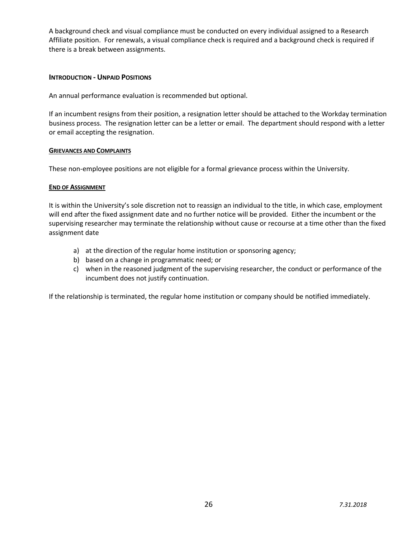A background check and visual compliance must be conducted on every individual assigned to a Research Affiliate position. For renewals, a visual compliance check is required and a background check is required if there is a break between assignments.

# **INTRODUCTION - UNPAID POSITIONS**

An annual performance evaluation is recommended but optional.

If an incumbent resigns from their position, a resignation letter should be attached to the Workday termination business process. The resignation letter can be a letter or email. The department should respond with a letter or email accepting the resignation.

# **GRIEVANCES AND COMPLAINTS**

These non-employee positions are not eligible for a formal grievance process within the University.

# **END OF ASSIGNMENT**

It is within the University's sole discretion not to reassign an individual to the title, in which case, employment will end after the fixed assignment date and no further notice will be provided. Either the incumbent or the supervising researcher may terminate the relationship without cause or recourse at a time other than the fixed assignment date

- a) at the direction of the regular home institution or sponsoring agency;
- b) based on a change in programmatic need; or
- c) when in the reasoned judgment of the supervising researcher, the conduct or performance of the incumbent does not justify continuation.

If the relationship is terminated, the regular home institution or company should be notified immediately.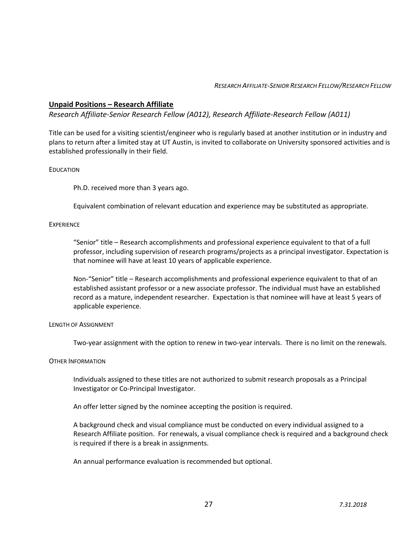# *RESEARCH AFFILIATE-SENIOR RESEARCH FELLOW/RESEARCH FELLOW*

# **Unpaid Positions – Research Affiliate**

*Research Affiliate-Senior Research Fellow (A012), Research Affiliate-Research Fellow (A011)* 

Title can be used for a visiting scientist/engineer who is regularly based at another institution or in industry and plans to return after a limited stay at UT Austin, is invited to collaborate on University sponsored activities and is established professionally in their field.

# EDUCATION

Ph.D. received more than 3 years ago.

Equivalent combination of relevant education and experience may be substituted as appropriate.

# **EXPERIENCE**

"Senior" title – Research accomplishments and professional experience equivalent to that of a full professor, including supervision of research programs/projects as a principal investigator. Expectation is that nominee will have at least 10 years of applicable experience.

Non-"Senior" title – Research accomplishments and professional experience equivalent to that of an established assistant professor or a new associate professor. The individual must have an established record as a mature, independent researcher. Expectation is that nominee will have at least 5 years of applicable experience.

# LENGTH OF ASSIGNMENT

Two-year assignment with the option to renew in two-year intervals. There is no limit on the renewals.

# OTHER INFORMATION

Individuals assigned to these titles are not authorized to submit research proposals as a Principal Investigator or Co-Principal Investigator.

An offer letter signed by the nominee accepting the position is required.

A background check and visual compliance must be conducted on every individual assigned to a Research Affiliate position. For renewals, a visual compliance check is required and a background check is required if there is a break in assignments.

An annual performance evaluation is recommended but optional.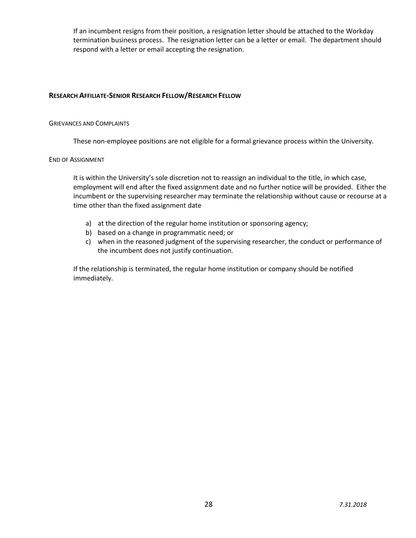If an incumbent resigns from their position, a resignation letter should be attached to the Workday termination business process. The resignation letter can be a letter or email. The department should respond with a letter or email accepting the resignation.

# **RESEARCH AFFILIATE-SENIOR RESEARCH FELLOW/RESEARCH FELLOW**

#### GRIEVANCES AND COMPLAINTS

These non-employee positions are not eligible for a formal grievance process within the University.

#### END OF ASSIGNMENT

It is within the University's sole discretion not to reassign an individual to the title, in which case, employment will end after the fixed assignment date and no further notice will be provided. Either the incumbent or the supervising researcher may terminate the relationship without cause or recourse at a time other than the fixed assignment date

- a) at the direction of the regular home institution or sponsoring agency;
- b) based on a change in programmatic need; or
- c) when in the reasoned judgment of the supervising researcher, the conduct or performance of the incumbent does not justify continuation.

If the relationship is terminated, the regular home institution or company should be notified immediately.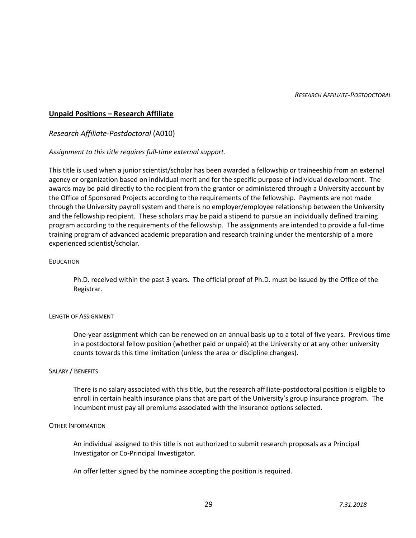# **Unpaid Positions – Research Affiliate**

*Research Affiliate-Postdoctoral* (A010)

# *Assignment to this title requires full-time external support.*

This title is used when a junior scientist/scholar has been awarded a fellowship or traineeship from an external agency or organization based on individual merit and for the specific purpose of individual development. The awards may be paid directly to the recipient from the grantor or administered through a University account by the Office of Sponsored Projects according to the requirements of the fellowship. Payments are not made through the University payroll system and there is no employer/employee relationship between the University and the fellowship recipient. These scholars may be paid a stipend to pursue an individually defined training program according to the requirements of the fellowship. The assignments are intended to provide a full-time training program of advanced academic preparation and research training under the mentorship of a more experienced scientist/scholar.

# EDUCATION

Ph.D. received within the past 3 years. The official proof of Ph.D. must be issued by the Office of the Registrar.

# LENGTH OF ASSIGNMENT

One-year assignment which can be renewed on an annual basis up to a total of five years. Previous time in a postdoctoral fellow position (whether paid or unpaid) at the University or at any other university counts towards this time limitation (unless the area or discipline changes).

# SALARY / BENEFITS

There is no salary associated with this title, but the research affiliate-postdoctoral position is eligible to enroll in certain health insurance plans that are part of the University's group insurance program. The incumbent must pay all premiums associated with the insurance options selected.

# OTHER INFORMATION

An individual assigned to this title is not authorized to submit research proposals as a Principal Investigator or Co-Principal Investigator.

An offer letter signed by the nominee accepting the position is required.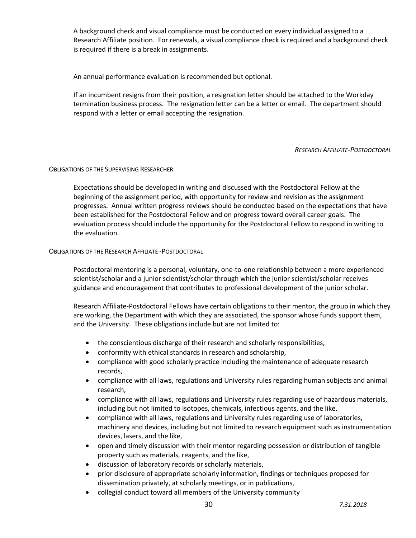A background check and visual compliance must be conducted on every individual assigned to a Research Affiliate position. For renewals, a visual compliance check is required and a background check is required if there is a break in assignments.

An annual performance evaluation is recommended but optional.

If an incumbent resigns from their position, a resignation letter should be attached to the Workday termination business process. The resignation letter can be a letter or email. The department should respond with a letter or email accepting the resignation.

# *RESEARCH AFFILIATE-POSTDOCTORAL*

# OBLIGATIONS OF THE SUPERVISING RESEARCHER

Expectations should be developed in writing and discussed with the Postdoctoral Fellow at the beginning of the assignment period, with opportunity for review and revision as the assignment progresses. Annual written progress reviews should be conducted based on the expectations that have been established for the Postdoctoral Fellow and on progress toward overall career goals. The evaluation process should include the opportunity for the Postdoctoral Fellow to respond in writing to the evaluation.

# OBLIGATIONS OF THE RESEARCH AFFILIATE -POSTDOCTORAL

Postdoctoral mentoring is a personal, voluntary, one-to-one relationship between a more experienced scientist/scholar and a junior scientist/scholar through which the junior scientist/scholar receives guidance and encouragement that contributes to professional development of the junior scholar.

Research Affiliate-Postdoctoral Fellows have certain obligations to their mentor, the group in which they are working, the Department with which they are associated, the sponsor whose funds support them, and the University. These obligations include but are not limited to:

- the conscientious discharge of their research and scholarly responsibilities,
- conformity with ethical standards in research and scholarship,
- compliance with good scholarly practice including the maintenance of adequate research records,
- compliance with all laws, regulations and University rules regarding human subjects and animal research,
- compliance with all laws, regulations and University rules regarding use of hazardous materials, including but not limited to isotopes, chemicals, infectious agents, and the like,
- compliance with all laws, regulations and University rules regarding use of laboratories, machinery and devices, including but not limited to research equipment such as instrumentation devices, lasers, and the like,
- open and timely discussion with their mentor regarding possession or distribution of tangible property such as materials, reagents, and the like,
- discussion of laboratory records or scholarly materials,
- prior disclosure of appropriate scholarly information, findings or techniques proposed for dissemination privately, at scholarly meetings, or in publications,
- collegial conduct toward all members of the University community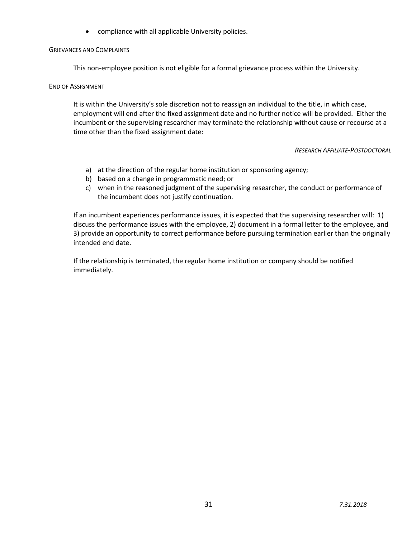• compliance with all applicable University policies.

# GRIEVANCES AND COMPLAINTS

This non-employee position is not eligible for a formal grievance process within the University.

# END OF ASSIGNMENT

It is within the University's sole discretion not to reassign an individual to the title, in which case, employment will end after the fixed assignment date and no further notice will be provided. Either the incumbent or the supervising researcher may terminate the relationship without cause or recourse at a time other than the fixed assignment date:

# *RESEARCH AFFILIATE-POSTDOCTORAL*

- a) at the direction of the regular home institution or sponsoring agency;
- b) based on a change in programmatic need; or
- c) when in the reasoned judgment of the supervising researcher, the conduct or performance of the incumbent does not justify continuation.

If an incumbent experiences performance issues, it is expected that the supervising researcher will: 1) discuss the performance issues with the employee, 2) document in a formal letter to the employee, and 3) provide an opportunity to correct performance before pursuing termination earlier than the originally intended end date.

If the relationship is terminated, the regular home institution or company should be notified immediately.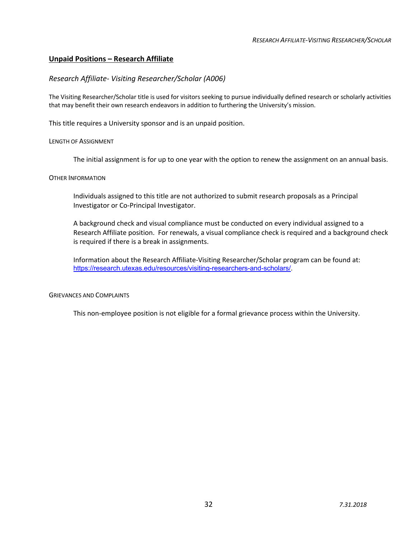# **Unpaid Positions – Research Affiliate**

# *Research Affiliate- Visiting Researcher/Scholar (A006)*

The Visiting Researcher/Scholar title is used for visitors seeking to pursue individually defined research or scholarly activities that may benefit their own research endeavors in addition to furthering the University's mission.

This title requires a University sponsor and is an unpaid position.

# LENGTH OF ASSIGNMENT

The initial assignment is for up to one year with the option to renew the assignment on an annual basis.

#### OTHER INFORMATION

Individuals assigned to this title are not authorized to submit research proposals as a Principal Investigator or Co-Principal Investigator.

A background check and visual compliance must be conducted on every individual assigned to a Research Affiliate position. For renewals, a visual compliance check is required and a background check is required if there is a break in assignments.

Information about the Research Affiliate-Visiting Researcher/Scholar program can be found at: https://research.utexas.edu/resources/visiting-researchers-and-scholars/.

# GRIEVANCES AND COMPLAINTS

This non-employee position is not eligible for a formal grievance process within the University.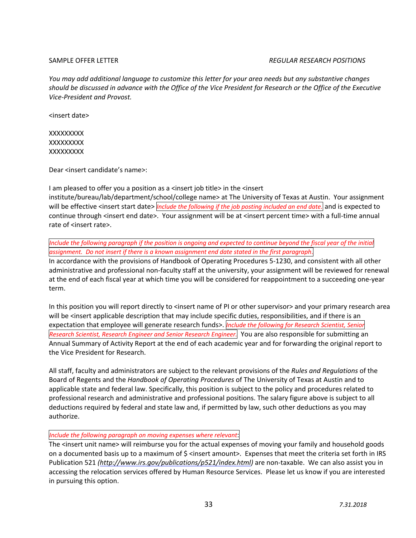# SAMPLE OFFER LETTER *REGULAR RESEARCH POSITIONS*

*You may add additional language to customize this letter for your area needs but any substantive changes should be discussed in advance with the Office of the Vice President for Research or the Office of the Executive Vice-President and Provost.* 

<insert date>

**XXXXXXXX XXXXXXXX XXXXXXXX** 

Dear <insert candidate's name>:

I am pleased to offer you a position as a <insert job title> in the <insert institute/bureau/lab/department/school/college name> at The University of Texas at Austin. Your assignment will be effective <insert start date> *Include the following* if the job posting included an end date. and is expected to continue through <insert end date>. Your assignment will be at <insert percent time> with a full-time annual rate of <insert rate>.

Include the following paragraph if the position is ongoing and expected to continue beyond the fiscal year of the initial *assignment. Do not insert if there is a known assignment end date stated in the first paragraph*.

In accordance with the provisions of Handbook of Operating Procedures 5-1230, and consistent with all other administrative and professional non-faculty staff at the university, your assignment will be reviewed for renewal at the end of each fiscal year at which time you will be considered for reappointment to a succeeding one-year term.

In this position you will report directly to <insert name of PI or other supervisor> and your primary research area will be <insert applicable description that may include specific duties, responsibilities, and if there is an expectation that employee will generate research funds>. *Include the following for Research Scientist, Senior Research Scientist, Research Engineer and Senior Research Engineer.* You are also responsible for submitting an Annual Summary of Activity Report at the end of each academic year and for forwarding the original report to the Vice President for Research.

All staff, faculty and administrators are subject to the relevant provisions of the *Rules and Regulations* of the Board of Regents and the *Handbook of Operating Procedures* of The University of Texas at Austin and to applicable state and federal law. Specifically, this position is subject to the policy and procedures related to professional research and administrative and professional positions. The salary figure above is subject to all deductions required by federal and state law and, if permitted by law, such other deductions as you may authorize.

# *Include the following paragraph on moving expenses where relevant*:

The <insert unit name> will reimburse you for the actual expenses of moving your family and household goods on a documented basis up to a maximum of  $\zeta$  <insert amount>. Expenses that meet the criteria set forth in IRS Publication 521 *(http://www.irs.gov/publications/p521/index.html)* are non-taxable. We can also assist you in accessing the relocation services offered by Human Resource Services. Please let us know if you are interested in pursuing this option.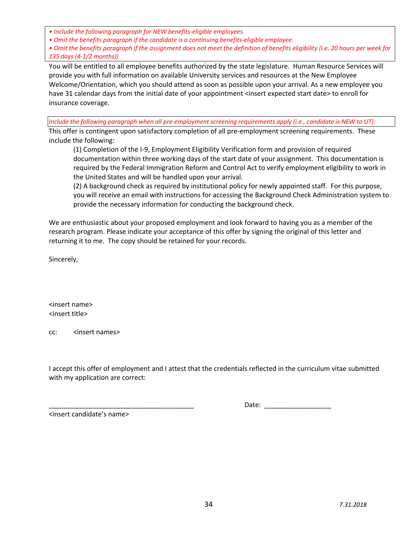*• Include the following paragraph for NEW benefits-eligible employees.*

- *Omit the benefits paragraph if the candidate is a continuing benefits-eligible employee.*
- *Omit the benefits paragraph if the assignment does not meet the definition of benefits eligibility (i.e. 20 hours per week for 135 days (4-1/2 months))*

You will be entitled to all employee benefits authorized by the state legislature. Human Resource Services will provide you with full information on available University services and resources at the New Employee Welcome/Orientation, which you should attend as soon as possible upon your arrival. As a new employee you have 31 calendar days from the initial date of your appointment <insert expected start date> to enroll for insurance coverage.

*Include the following paragraph when all pre-employment screening requirements apply (i.e., candidate is NEW to UT):*

This offer is contingent upon satisfactory completion of all pre-employment screening requirements. These include the following:

(1) Completion of the I-9, Employment Eligibility Verification form and provision of required documentation within three working days of the start date of your assignment. This documentation is required by the Federal Immigration Reform and Control Act to verify employment eligibility to work in the United States and will be handled upon your arrival.

(2) A background check as required by institutional policy for newly appointed staff. For this purpose, you will receive an email with instructions for accessing the Background Check Administration system to provide the necessary information for conducting the background check.

We are enthusiastic about your proposed employment and look forward to having you as a member of the research program. Please indicate your acceptance of this offer by signing the original of this letter and returning it to me. The copy should be retained for your records.

Sincerely,

<insert name> <insert title>

cc: <insert names>

I accept this offer of employment and I attest that the credentials reflected in the curriculum vitae submitted with my application are correct:

<insert candidate's name>

Date: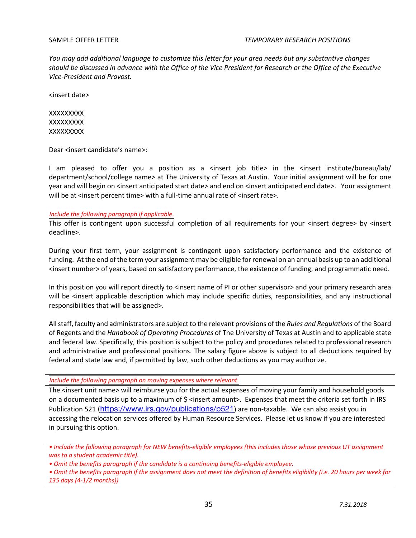*You may add additional language to customize this letter for your area needs but any substantive changes should be discussed in advance with the Office of the Vice President for Research or the Office of the Executive Vice-President and Provost.* 

<insert date>

**XXXXXXXX XXXXXXXX XXXXXXXX** 

Dear <insert candidate's name>:

I am pleased to offer you a position as a <insert job title> in the <insert institute/bureau/lab/ department/school/college name> at The University of Texas at Austin. Your initial assignment will be for one year and will begin on <insert anticipated start date> and end on <insert anticipated end date>. Your assignment will be at <insert percent time> with a full-time annual rate of <insert rate>.

# *Include the following paragraph if applicable*.

This offer is contingent upon successful completion of all requirements for your <insert degree> by <insert deadline>.

During your first term, your assignment is contingent upon satisfactory performance and the existence of funding. At the end of the term your assignment may be eligible for renewal on an annual basis up to an additional <insert number> of years, based on satisfactory performance, the existence of funding, and programmatic need.

In this position you will report directly to <insert name of PI or other supervisor> and your primary research area will be <insert applicable description which may include specific duties, responsibilities, and any instructional responsibilities that will be assigned>.

All staff, faculty and administrators are subject to the relevant provisions of the *Rules and Regulations* of the Board of Regents and the *Handbook of Operating Procedures* of The University of Texas at Austin and to applicable state and federal law. Specifically, this position is subject to the policy and procedures related to professional research and administrative and professional positions. The salary figure above is subject to all deductions required by federal and state law and, if permitted by law, such other deductions as you may authorize.

# *Include the following paragraph on moving expenses where relevant*.

The <insert unit name> will reimburse you for the actual expenses of moving your family and household goods on a documented basis up to a maximum of \$ <insert amount>. Expenses that meet the criteria set forth in IRS Publication 521 (https://www.irs.gov/publications/p521) are non-taxable. We can also assist you in accessing the relocation services offered by Human Resource Services. Please let us know if you are interested in pursuing this option.

*• Include the following paragraph for NEW benefits-eligible employees (this includes those whose previous UT assignment was to a student academic title).*

*• Omit the benefits paragraph if the candidate is a continuing benefits-eligible employee.* 

*• Omit the benefits paragraph if the assignment does not meet the definition of benefits eligibility (i.e. 20 hours per week for 135 days (4-1/2 months))*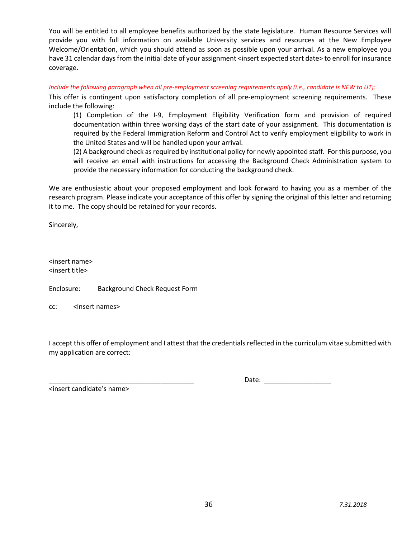You will be entitled to all employee benefits authorized by the state legislature. Human Resource Services will provide you with full information on available University services and resources at the New Employee Welcome/Orientation, which you should attend as soon as possible upon your arrival. As a new employee you have 31 calendar days from the initial date of your assignment <insert expected start date> to enroll for insurance coverage.

*Include the following paragraph when all pre-employment screening requirements apply (i.e., candidate is NEW to UT):*

This offer is contingent upon satisfactory completion of all pre-employment screening requirements. These include the following:

(1) Completion of the I-9, Employment Eligibility Verification form and provision of required documentation within three working days of the start date of your assignment. This documentation is required by the Federal Immigration Reform and Control Act to verify employment eligibility to work in the United States and will be handled upon your arrival.

(2) A background check as required by institutional policy for newly appointed staff. For this purpose, you will receive an email with instructions for accessing the Background Check Administration system to provide the necessary information for conducting the background check.

We are enthusiastic about your proposed employment and look forward to having you as a member of the research program. Please indicate your acceptance of this offer by signing the original of this letter and returning it to me. The copy should be retained for your records.

Sincerely,

<insert name> <insert title>

Enclosure: Background Check Request Form

cc: <insert names>

I accept this offer of employment and I attest that the credentials reflected in the curriculum vitae submitted with my application are correct:

<insert candidate's name>

\_\_\_\_\_\_\_\_\_\_\_\_\_\_\_\_\_\_\_\_\_\_\_\_\_\_\_\_\_\_\_\_\_\_\_\_\_\_\_ Date: \_\_\_\_\_\_\_\_\_\_\_\_\_\_\_\_\_\_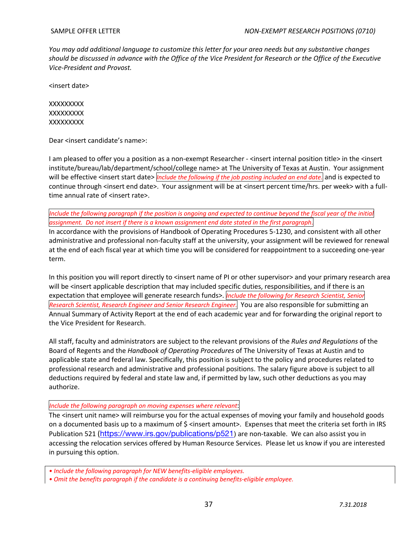*You may add additional language to customize this letter for your area needs but any substantive changes should be discussed in advance with the Office of the Vice President for Research or the Office of the Executive Vice-President and Provost.* 

<insert date>

XXXXXXXXX XXXXXXXXX XXXXXXXXX

Dear <insert candidate's name>:

I am pleased to offer you a position as a non-exempt Researcher - <insert internal position title> in the <insert institute/bureau/lab/department/school/college name> at The University of Texas at Austin. Your assignment will be effective <insert start date> *Include the following* if the job posting included an end date. and is expected to continue through <insert end date>. Your assignment will be at <insert percent time/hrs. per week> with a fulltime annual rate of <insert rate>.

Include the following paragraph if the position is ongoing and expected to continue beyond the fiscal year of the initial *assignment. Do not insert if there is a known assignment end date stated in the first paragraph*. In accordance with the provisions of Handbook of Operating Procedures 5-1230, and consistent with all other administrative and professional non-faculty staff at the university, your assignment will be reviewed for renewal at the end of each fiscal year at which time you will be considered for reappointment to a succeeding one-year term.

In this position you will report directly to <insert name of PI or other supervisor> and your primary research area will be <insert applicable description that may included specific duties, responsibilities, and if there is an expectation that employee will generate research funds>. *Include the following for Research Scientist, Senior Research Scientist, Research Engineer and Senior Research Engineer.* You are also responsible for submitting an Annual Summary of Activity Report at the end of each academic year and for forwarding the original report to the Vice President for Research.

All staff, faculty and administrators are subject to the relevant provisions of the *Rules and Regulations* of the Board of Regents and the *Handbook of Operating Procedures* of The University of Texas at Austin and to applicable state and federal law. Specifically, this position is subject to the policy and procedures related to professional research and administrative and professional positions. The salary figure above is subject to all deductions required by federal and state law and, if permitted by law, such other deductions as you may authorize.

# *Include the following paragraph on moving expenses where relevant*:

The <insert unit name> will reimburse you for the actual expenses of moving your family and household goods on a documented basis up to a maximum of \$ <insert amount>. Expenses that meet the criteria set forth in IRS Publication 521 (https://www.irs.gov/publications/p521) are non-taxable. We can also assist you in accessing the relocation services offered by Human Resource Services. Please let us know if you are interested in pursuing this option.

*• Include the following paragraph for NEW benefits-eligible employees.*

*• Omit the benefits paragraph if the candidate is a continuing benefits-eligible employee.*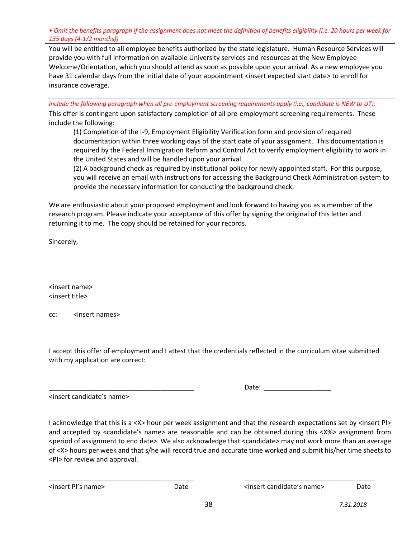*• Omit the benefits paragraph if the assignment does not meet the definition of benefits eligibility (i.e. 20 hours per week for 135 days (4-1/2 months))*

You will be entitled to all employee benefits authorized by the state legislature. Human Resource Services will provide you with full information on available University services and resources at the New Employee Welcome/Orientation, which you should attend as soon as possible upon your arrival. As a new employee you have 31 calendar days from the initial date of your appointment <insert expected start date> to enroll for insurance coverage.

*Include the following paragraph when all pre-employment screening requirements apply (i.e., candidate is NEW to UT):*

This offer is contingent upon satisfactory completion of all pre-employment screening requirements. These include the following:

(1) Completion of the I-9, Employment Eligibility Verification form and provision of required documentation within three working days of the start date of your assignment. This documentation is required by the Federal Immigration Reform and Control Act to verify employment eligibility to work in the United States and will be handled upon your arrival.

(2) A background check as required by institutional policy for newly appointed staff. For this purpose, you will receive an email with instructions for accessing the Background Check Administration system to provide the necessary information for conducting the background check.

We are enthusiastic about your proposed employment and look forward to having you as a member of the research program. Please indicate your acceptance of this offer by signing the original of this letter and returning it to me. The copy should be retained for your records.

Sincerely,

<insert name> <insert title>

cc: <insert names>

I accept this offer of employment and I attest that the credentials reflected in the curriculum vitae submitted with my application are correct:

<insert candidate's name>

\_\_\_\_\_\_\_\_\_\_\_\_\_\_\_\_\_\_\_\_\_\_\_\_\_\_\_\_\_\_\_\_\_\_\_\_\_\_\_ Date: \_\_\_\_\_\_\_\_\_\_\_\_\_\_\_\_\_\_

I acknowledge that this is a <X> hour per week assignment and that the research expectations set by <Insert PI> and accepted by <candidate's name> are reasonable and can be obtained during this <X%> assignment from <period of assignment to end date>. We also acknowledge that <candidate> may not work more than an average of <X> hours per week and that s/he will record true and accurate time worked and submit his/her time sheets to <PI> for review and approval.

<insert PI's name> Date <insert candidate's name> Date

\_\_\_\_\_\_\_\_\_\_\_\_\_\_\_\_\_\_\_\_\_\_\_\_\_\_\_\_\_\_\_\_\_\_\_\_\_\_\_ \_\_\_\_\_\_\_\_\_\_\_\_\_\_\_\_\_\_\_\_\_\_\_\_\_\_\_\_\_\_\_\_\_\_\_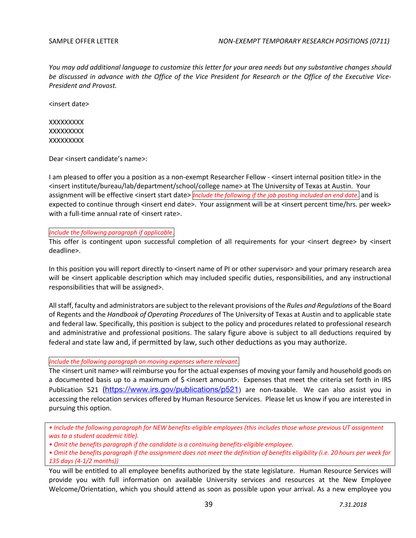*You may add additional language to customize this letter for your area needs but any substantive changes should be discussed in advance with the Office of the Vice President for Research or the Office of the Executive Vice-President and Provost.* 

<insert date>

**XXXXXXXX XXXXXXXX XXXXXXXX** 

Dear <insert candidate's name>:

I am pleased to offer you a position as a non-exempt Researcher Fellow - <insert internal position title> in the <insert institute/bureau/lab/department/school/college name> at The University of Texas at Austin. Your assignment will be effective <insert start date> *Include the following if the job posting included an end date.* and is expected to continue through <insert end date>. Your assignment will be at <insert percent time/hrs. per week> with a full-time annual rate of <insert rate>.

*Include the following paragraph if applicable*.

This offer is contingent upon successful completion of all requirements for your <insert degree> by <insert deadline>.

In this position you will report directly to <insert name of PI or other supervisor> and your primary research area will be <insert applicable description which may included specific duties, responsibilities, and any instructional responsibilities that will be assigned>.

All staff, faculty and administrators are subject to the relevant provisions of the *Rules and Regulations* of the Board of Regents and the *Handbook of Operating Procedures* of The University of Texas at Austin and to applicable state and federal law. Specifically, this position is subject to the policy and procedures related to professional research and administrative and professional positions. The salary figure above is subject to all deductions required by federal and state law and, if permitted by law, such other deductions as you may authorize.

# *Include the following paragraph on moving expenses where relevant*.

The <insert unit name> will reimburse you for the actual expenses of moving your family and household goods on a documented basis up to a maximum of  $\zeta$  <insert amount>. Expenses that meet the criteria set forth in IRS Publication 521 (https://www.irs.gov/publications/p521) are non-taxable. We can also assist you in accessing the relocation services offered by Human Resource Services. Please let us know if you are interested in pursuing this option.

*• Include the following paragraph for NEW benefits-eligible employees (this includes those whose previous UT assignment was to a student academic title).*

*• Omit the benefits paragraph if the candidate is a continuing benefits-eligible employee.* 

You will be entitled to all employee benefits authorized by the state legislature. Human Resource Services will provide you with full information on available University services and resources at the New Employee Welcome/Orientation, which you should attend as soon as possible upon your arrival. As a new employee you

*<sup>•</sup> Omit the benefits paragraph if the assignment does not meet the definition of benefits eligibility (i.e. 20 hours per week for 135 days (4-1/2 months))*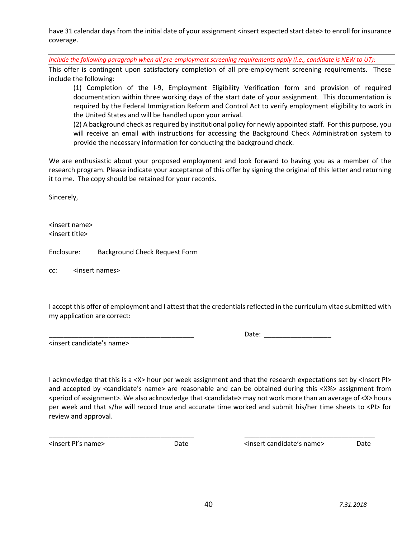have 31 calendar days from the initial date of your assignment <insert expected start date> to enroll for insurance coverage.

*Include the following paragraph when all pre-employment screening requirements apply (i.e., candidate is NEW to UT):*

This offer is contingent upon satisfactory completion of all pre-employment screening requirements. These include the following:

(1) Completion of the I-9, Employment Eligibility Verification form and provision of required documentation within three working days of the start date of your assignment. This documentation is required by the Federal Immigration Reform and Control Act to verify employment eligibility to work in the United States and will be handled upon your arrival.

(2) A background check as required by institutional policy for newly appointed staff. For this purpose, you will receive an email with instructions for accessing the Background Check Administration system to provide the necessary information for conducting the background check.

We are enthusiastic about your proposed employment and look forward to having you as a member of the research program. Please indicate your acceptance of this offer by signing the original of this letter and returning it to me. The copy should be retained for your records.

Sincerely,

<insert name> <insert title>

Enclosure: Background Check Request Form

cc: <insert names>

I accept this offer of employment and I attest that the credentials reflected in the curriculum vitae submitted with my application are correct:

<insert candidate's name>

Date:  $\Box$ 

I acknowledge that this is a <X> hour per week assignment and that the research expectations set by <Insert PI> and accepted by <candidate's name> are reasonable and can be obtained during this <X%> assignment from <period of assignment>. We also acknowledge that <candidate> may not work more than an average of <X> hours per week and that s/he will record true and accurate time worked and submit his/her time sheets to <PI> for review and approval.

\_\_\_\_\_\_\_\_\_\_\_\_\_\_\_\_\_\_\_\_\_\_\_\_\_\_\_\_\_\_\_\_\_\_\_\_\_\_\_ \_\_\_\_\_\_\_\_\_\_\_\_\_\_\_\_\_\_\_\_\_\_\_\_\_\_\_\_\_\_\_\_\_\_\_

<insert PI's name>
Date  $\blacksquare$ Date  $\blacksquare$ Date  $\blacksquare$  and  $\blacksquare$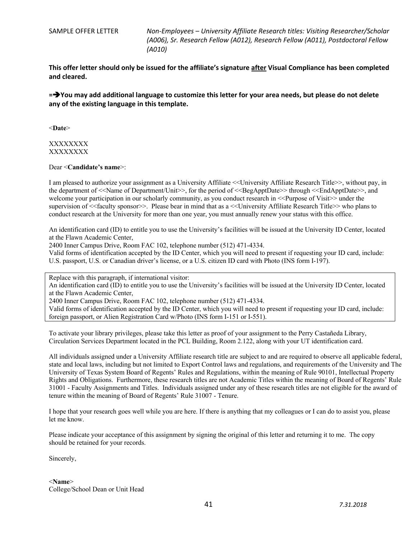SAMPLE OFFER LETTER *Non-Employees – University Affiliate Research titles: Visiting Researcher/Scholar (A006), Sr. Research Fellow (A012), Research Fellow (A011), Postdoctoral Fellow (A010)*

**This offer letter should only be issued for the affiliate's signature after Visual Compliance has been completed and cleared.**

**=**è**You may add additional language to customize this letter for your area needs, but please do not delete any of the existing language in this template.**

<**Date**>

#### XXXXXXXX XXXXXXXX

Dear <**Candidate's name**>:

I am pleased to authorize your assignment as a University Affiliate <<University Affiliate Research Title>>, without pay, in the department of <<Name of Department/Unit>>, for the period of <<BegApptDate>> through <<EndApptDate>>, and welcome your participation in our scholarly community, as you conduct research in  $\leq$ Purpose of Visit $\geq$  under the supervision of <<faculty sponsor>>. Please bear in mind that as a <<University Affiliate Research Title>> who plans to conduct research at the University for more than one year, you must annually renew your status with this office.

An identification card (ID) to entitle you to use the University's facilities will be issued at the University ID Center, located at the Flawn Academic Center,

2400 Inner Campus Drive, Room FAC 102, telephone number (512) 471-4334.

Valid forms of identification accepted by the ID Center, which you will need to present if requesting your ID card, include: U.S. passport, U.S. or Canadian driver's license, or a U.S. citizen ID card with Photo (INS form I-197).

Replace with this paragraph, if international visitor:

An identification card (ID) to entitle you to use the University's facilities will be issued at the University ID Center, located at the Flawn Academic Center,

2400 Inner Campus Drive, Room FAC 102, telephone number (512) 471-4334.

Valid forms of identification accepted by the ID Center, which you will need to present if requesting your ID card, include: foreign passport, or Alien Registration Card w/Photo (INS form I-151 or I-551).

To activate your library privileges, please take this letter as proof of your assignment to the Perry Castañeda Library, Circulation Services Department located in the PCL Building, Room 2.122, along with your UT identification card.

All individuals assigned under a University Affiliate research title are subject to and are required to observe all applicable federal, state and local laws, including but not limited to Export Control laws and regulations, and requirements of the University and The University of Texas System Board of Regents' Rules and Regulations, within the meaning of Rule 90101, Intellectual Property Rights and Obligations. Furthermore, these research titles are not Academic Titles within the meaning of Board of Regents' Rule 31001 - Faculty Assignments and Titles. Individuals assigned under any of these research titles are not eligible for the award of tenure within the meaning of Board of Regents' Rule 31007 - Tenure.

I hope that your research goes well while you are here. If there is anything that my colleagues or I can do to assist you, please let me know.

Please indicate your acceptance of this assignment by signing the original of this letter and returning it to me. The copy should be retained for your records.

Sincerely,